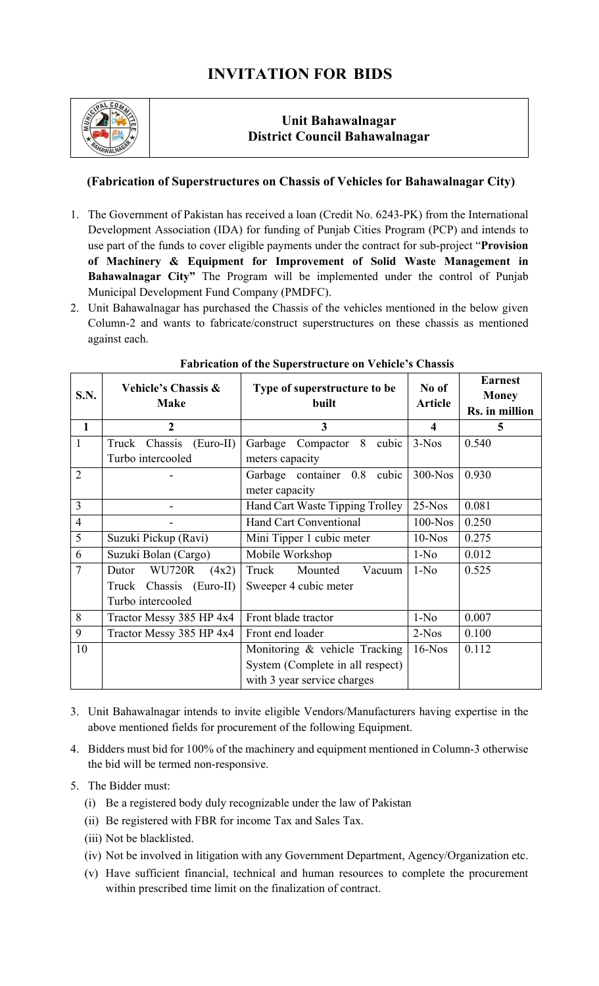## **INVITATION FOR BIDS**



## **Unit Bahawalnagar District Council Bahawalnagar**

## **(Fabrication of Superstructures on Chassis of Vehicles for Bahawalnagar City)**

- 1. The Government of Pakistan has received a loan (Credit No. 6243-PK) from the International Development Association (IDA) for funding of Punjab Cities Program (PCP) and intends to use part of the funds to cover eligible payments under the contract for sub-project "**Provision of Machinery & Equipment for Improvement of Solid Waste Management in Bahawalnagar City"** The Program will be implemented under the control of Punjab Municipal Development Fund Company (PMDFC).
- 2. Unit Bahawalnagar has purchased the Chassis of the vehicles mentioned in the below given Column-2 and wants to fabricate/construct superstructures on these chassis as mentioned against each.

| S.N.           | Vehicle's Chassis &<br><b>Make</b> | Type of superstructure to be<br>built | No of<br><b>Article</b> | <b>Earnest</b><br><b>Money</b><br>Rs. in million |
|----------------|------------------------------------|---------------------------------------|-------------------------|--------------------------------------------------|
| $\mathbf{1}$   | $\overline{2}$                     | $\overline{\mathbf{3}}$               | 4                       | 5                                                |
| $\mathbf{1}$   | Truck Chassis (Euro-II)            | Garbage Compactor 8<br>cubic          | $3-Nos$                 | 0.540                                            |
|                | Turbo intercooled                  | meters capacity                       |                         |                                                  |
| $\overline{2}$ |                                    | Garbage container 0.8<br>cubic        | $300-N$ os              | 0.930                                            |
|                |                                    | meter capacity                        |                         |                                                  |
| 3              |                                    | Hand Cart Waste Tipping Trolley       | $25-Nos$                | 0.081                                            |
| $\overline{4}$ |                                    | <b>Hand Cart Conventional</b>         | $100-Nos$               | 0.250                                            |
| 5              | Suzuki Pickup (Ravi)               | Mini Tipper 1 cubic meter             | $10-Nos$                | 0.275                                            |
| 6              | Suzuki Bolan (Cargo)               | Mobile Workshop                       | $1-N0$                  | 0.012                                            |
| $\overline{7}$ | <b>WU720R</b><br>Dutor<br>(4x2)    | Truck<br>Mounted<br>Vacuum            | $1-N0$                  | 0.525                                            |
|                | Truck Chassis (Euro-II)            | Sweeper 4 cubic meter                 |                         |                                                  |
|                | Turbo intercooled                  |                                       |                         |                                                  |
| 8              | Tractor Messy 385 HP 4x4           | Front blade tractor                   | $1-N0$                  | 0.007                                            |
| 9              | Tractor Messy 385 HP 4x4           | Front end loader                      | $2-Nos$                 | 0.100                                            |
| 10             |                                    | Monitoring & vehicle Tracking         | $16-Nos$                | 0.112                                            |
|                |                                    | System (Complete in all respect)      |                         |                                                  |
|                |                                    | with 3 year service charges           |                         |                                                  |

## **Fabrication of the Superstructure on Vehicle's Chassis**

- 3. Unit Bahawalnagar intends to invite eligible Vendors/Manufacturers having expertise in the above mentioned fields for procurement of the following Equipment.
- 4. Bidders must bid for 100% of the machinery and equipment mentioned in Column-3 otherwise the bid will be termed non-responsive.
- 5. The Bidder must:
	- (i) Be a registered body duly recognizable under the law of Pakistan
	- (ii) Be registered with FBR for income Tax and Sales Tax.
	- (iii) Not be blacklisted.
	- (iv) Not be involved in litigation with any Government Department, Agency/Organization etc.
	- (v) Have sufficient financial, technical and human resources to complete the procurement within prescribed time limit on the finalization of contract.